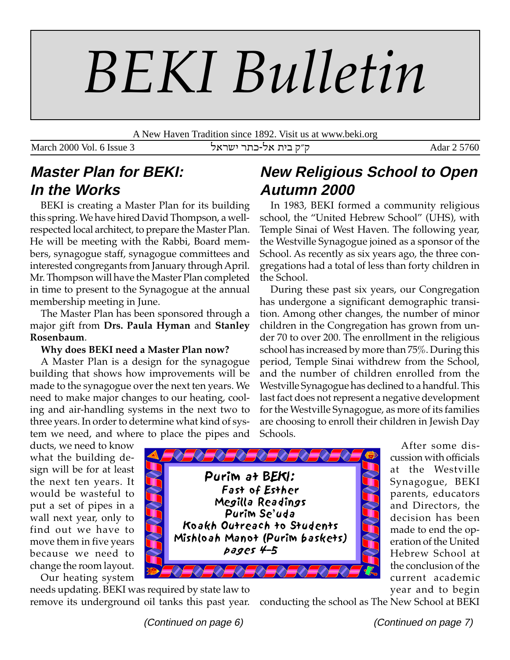# *BEKI Bulletin*

A New Haven Tradition since 1892. Visit us at www.beki.org

March 2000 Vol. 6 Issue 3 ה"ק בית אל-כתר ישראל Adar 2 5760

# **Master Plan for BEKI: In the Works**

BEKI is creating a Master Plan for its building this spring. We have hired David Thompson, a wellrespected local architect, to prepare the Master Plan. He will be meeting with the Rabbi, Board members, synagogue staff, synagogue committees and interested congregants from January through April. Mr. Thompson will have the Master Plan completed in time to present to the Synagogue at the annual membership meeting in June.

The Master Plan has been sponsored through a major gift from **Drs. Paula Hyman** and **Stanley Rosenbaum**.

#### **Why does BEKI need a Master Plan now?**

A Master Plan is a design for the synagogue building that shows how improvements will be made to the synagogue over the next ten years. We need to make major changes to our heating, cooling and air-handling systems in the next two to three years. In order to determine what kind of system we need, and where to place the pipes and

## ducts, we need to know what the building design will be for at least the next ten years. It would be wasteful to put a set of pipes in a wall next year, only to find out we have to move them in five years because we need to

change the room layout. Our heating system

needs updating. BEKI was required by state law to remove its underground oil tanks this past year.

# **New Religious School to Open Autumn 2000**

In 1983, BEKI formed a community religious school, the "United Hebrew School" (UHS), with Temple Sinai of West Haven. The following year, the Westville Synagogue joined as a sponsor of the School. As recently as six years ago, the three congregations had a total of less than forty children in the School.

During these past six years, our Congregation has undergone a significant demographic transition. Among other changes, the number of minor children in the Congregation has grown from under 70 to over 200. The enrollment in the religious school has increased by more than 75%. During this period, Temple Sinai withdrew from the School, and the number of children enrolled from the Westville Synagogue has declined to a handful. This last fact does not represent a negative development for the Westville Synagogue, as more of its families are choosing to enroll their children in Jewish Day Schools.



After some discussion with officials at the Westville Synagogue, BEKI parents, educators and Directors, the decision has been made to end the operation of the United Hebrew School at the conclusion of the current academic year and to begin

conducting the school as The New School at BEKI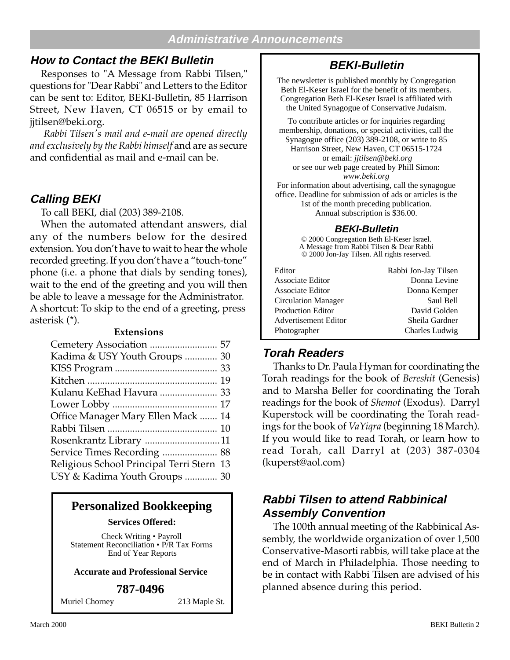#### **Administrative Announcements**

## **How to Contact the BEKI Bulletin**

Responses to "A Message from Rabbi Tilsen," questions for "Dear Rabbi" and Letters to the Editor can be sent to: Editor, BEKI-Bulletin, 85 Harrison Street, New Haven, CT 06515 or by email to jjtilsen@beki.org.

 *Rabbi Tilsen's mail and e-mail are opened directly and exclusively by the Rabbi himself* and are as secure and confidential as mail and e-mail can be.

#### **Calling BEKI**

To call BEKI, dial (203) 389-2108.

When the automated attendant answers, dial any of the numbers below for the desired extension. You don't have to wait to hear the whole recorded greeting. If you don't have a "touch-tone" phone (i.e. a phone that dials by sending tones), wait to the end of the greeting and you will then be able to leave a message for the Administrator. A shortcut: To skip to the end of a greeting, press asterisk (\*).

#### **Extensions**

## **Personalized Bookkeeping**

**Services Offered:**

Check Writing • Payroll Statement Reconciliation • P/R Tax Forms End of Year Reports

#### **Accurate and Professional Service**

#### **787-0496**

Muriel Chorney 213 Maple St.

## **BEKI-Bulletin**

The newsletter is published monthly by Congregation Beth El-Keser Israel for the benefit of its members. Congregation Beth El-Keser Israel is affiliated with the United Synagogue of Conservative Judaism.

To contribute articles or for inquiries regarding membership, donations, or special activities, call the Synagogue office (203) 389-2108, or write to 85 Harrison Street, New Haven, CT 06515-1724 or email: *jjtilsen@beki.org* or see our web page created by Phill Simon: *www.beki.org* For information about advertising, call the synagogue

office. Deadline for submission of ads or articles is the 1st of the month preceding publication. Annual subscription is \$36.00.

#### **BEKI-Bulletin**

© 2000 Congregation Beth El-Keser Israel. A Message from Rabbi Tilsen & Dear Rabbi © 2000 Jon-Jay Tilsen. All rights reserved.

| Rabbi Jon-Jay Tilsen |
|----------------------|
| Donna Levine         |
| Donna Kemper         |
| Saul Bell            |
| David Golden         |
| Sheila Gardner       |
| Charles Ludwig       |
|                      |

## **Torah Readers**

Thanks to Dr. Paula Hyman for coordinating the Torah readings for the book of *Bereshit* (Genesis) and to Marsha Beller for coordinating the Torah readings for the book of *Shemot* (Exodus). Darryl Kuperstock will be coordinating the Torah readings for the book of *VaYiqra* (beginning 18 March). If you would like to read Torah, or learn how to read Torah, call Darryl at (203) 387-0304 (kuperst@aol.com)

## **Rabbi Tilsen to attend Rabbinical Assembly Convention**

The 100th annual meeting of the Rabbinical Assembly, the worldwide organization of over 1,500 Conservative-Masorti rabbis, will take place at the end of March in Philadelphia. Those needing to be in contact with Rabbi Tilsen are advised of his planned absence during this period.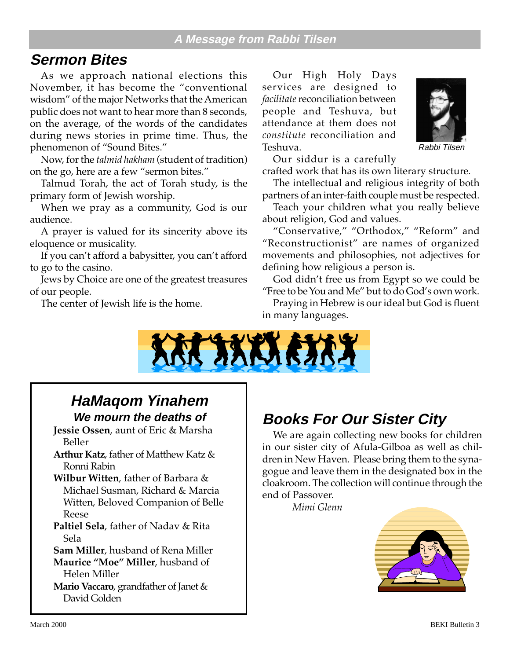# **Sermon Bites**

As we approach national elections this November, it has become the "conventional wisdom" of the major Networks that the American public does not want to hear more than 8 seconds, on the average, of the words of the candidates during news stories in prime time. Thus, the phenomenon of "Sound Bites."

Now, for the *talmid hakham* (student of tradition) on the go, here are a few "sermon bites."

Talmud Torah, the act of Torah study, is the primary form of Jewish worship.

When we pray as a community, God is our audience.

A prayer is valued for its sincerity above its eloquence or musicality.

If you can't afford a babysitter, you can't afford to go to the casino.

Jews by Choice are one of the greatest treasures of our people.

The center of Jewish life is the home.

Our High Holy Days services are designed to *facilitate* reconciliation between people and Teshuva, but attendance at them does not *constitute* reconciliation and Teshuva.



Rabbi Tilsen

Our siddur is a carefully

crafted work that has its own literary structure.

The intellectual and religious integrity of both partners of an inter-faith couple must be respected.

Teach your children what you really believe about religion, God and values.

"Conservative," "Orthodox," "Reform" and "Reconstructionist" are names of organized movements and philosophies, not adjectives for defining how religious a person is.

God didn't free us from Egypt so we could be "Free to be You and Me" but to do God's own work.

Praying in Hebrew is our ideal but God is fluent in many languages.



## **HaMaqom Yinahem We mourn the deaths of**

**Jessie Ossen**, aunt of Eric & Marsha Beller

**Arthur Katz**, father of Matthew Katz & Ronni Rabin

**Wilbur Witten**, father of Barbara & Michael Susman, Richard & Marcia Witten, Beloved Companion of Belle Reese

**Paltiel Sela**, father of Nadav & Rita Sela

**Sam Miller**, husband of Rena Miller **Maurice "Moe" Miller**, husband of Helen Miller

**Mario Vaccaro**, grandfather of Janet & David Golden

# **Books For Our Sister City**

We are again collecting new books for children in our sister city of Afula-Gilboa as well as children in New Haven. Please bring them to the synagogue and leave them in the designated box in the cloakroom. The collection will continue through the end of Passover.

*Mimi Glenn*

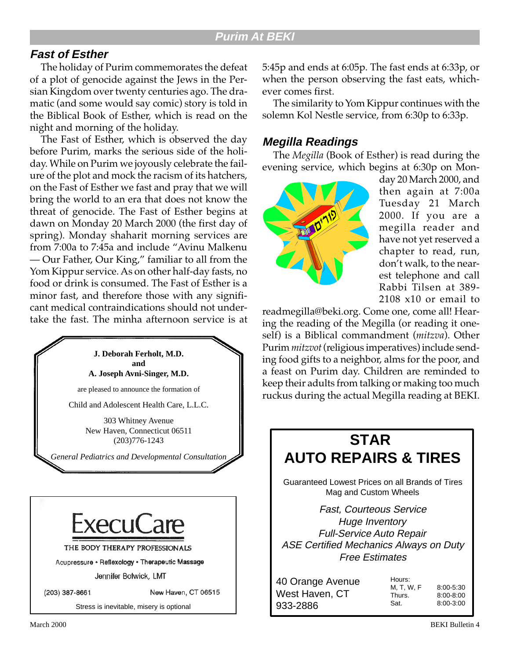## **Fast of Esther**

The holiday of Purim commemorates the defeat of a plot of genocide against the Jews in the Persian Kingdom over twenty centuries ago. The dramatic (and some would say comic) story is told in the Biblical Book of Esther, which is read on the night and morning of the holiday.

The Fast of Esther, which is observed the day before Purim, marks the serious side of the holiday. While on Purim we joyously celebrate the failure of the plot and mock the racism of its hatchers, on the Fast of Esther we fast and pray that we will bring the world to an era that does not know the threat of genocide. The Fast of Esther begins at dawn on Monday 20 March 2000 (the first day of spring). Monday shaharit morning services are from 7:00a to 7:45a and include "Avinu Malkenu — Our Father, Our King," familiar to all from the Yom Kippur service. As on other half-day fasts, no food or drink is consumed. The Fast of Esther is a minor fast, and therefore those with any significant medical contraindications should not undertake the fast. The minha afternoon service is at

> **J. Deborah Ferholt, M.D. and A. Joseph Avni-Singer, M.D.** are pleased to announce the formation of

Child and Adolescent Health Care, L.L.C.

303 Whitney Avenue New Haven, Connecticut 06511 (203)776-1243

*General Pediatrics and Developmental Consultation*



Stress is inevitable, misery is optional

5:45p and ends at 6:05p. The fast ends at 6:33p, or when the person observing the fast eats, whichever comes first.

The similarity to Yom Kippur continues with the solemn Kol Nestle service, from 6:30p to 6:33p.

#### **Megilla Readings**

The *Megilla* (Book of Esther) is read during the evening service, which begins at 6:30p on Mon-



day 20 March 2000, and then again at 7:00a Tuesday 21 March 2000. If you are a megilla reader and have not yet reserved a chapter to read, run, don't walk, to the nearest telephone and call Rabbi Tilsen at 389- 2108 x10 or email to

readmegilla@beki.org. Come one, come all! Hearing the reading of the Megilla (or reading it oneself) is a Biblical commandment (*mitzva*). Other Purim *mitzvot* (religious imperatives) include sending food gifts to a neighbor, alms for the poor, and a feast on Purim day. Children are reminded to keep their adults from talking or making too much ruckus during the actual Megilla reading at BEKI.

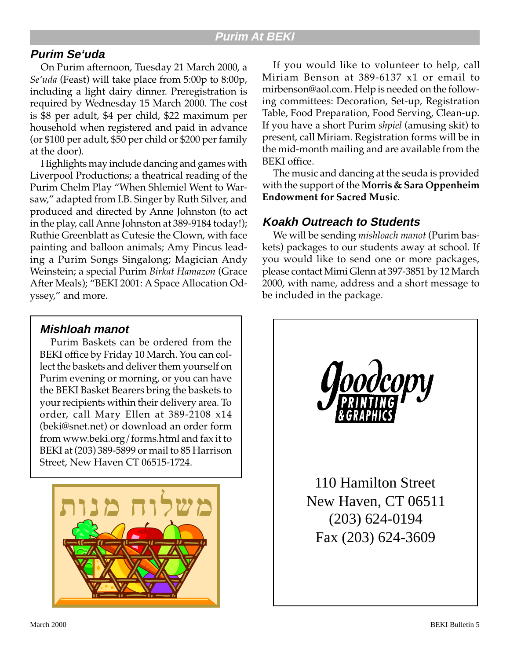## **Purim Se'uda**

On Purim afternoon, Tuesday 21 March 2000, a *Se'uda* (Feast) will take place from 5:00p to 8:00p, including a light dairy dinner. Preregistration is required by Wednesday 15 March 2000. The cost is \$8 per adult, \$4 per child, \$22 maximum per household when registered and paid in advance (or \$100 per adult, \$50 per child or \$200 per family at the door).

Highlights may include dancing and games with Liverpool Productions; a theatrical reading of the Purim Chelm Play "When Shlemiel Went to Warsaw," adapted from I.B. Singer by Ruth Silver, and produced and directed by Anne Johnston (to act in the play, call Anne Johnston at 389-9184 today!); Ruthie Greenblatt as Cutesie the Clown, with face painting and balloon animals; Amy Pincus leading a Purim Songs Singalong; Magician Andy Weinstein; a special Purim *Birkat Hamazon* (Grace After Meals); "BEKI 2001: A Space Allocation Odyssey," and more.

If you would like to volunteer to help, call Miriam Benson at 389-6137 x1 or email to mirbenson@aol.com. Help is needed on the following committees: Decoration, Set-up, Registration Table, Food Preparation, Food Serving, Clean-up. If you have a short Purim *shpiel* (amusing skit) to present, call Miriam. Registration forms will be in the mid-month mailing and are available from the BEKI office.

The music and dancing at the seuda is provided with the support of the **Morris & Sara Oppenheim Endowment for Sacred Music**.

## **Koakh Outreach to Students**

We will be sending *mishloach manot* (Purim baskets) packages to our students away at school. If you would like to send one or more packages, please contact Mimi Glenn at 397-3851 by 12 March 2000, with name, address and a short message to be included in the package.



## **Mishloah manot**

Purim Baskets can be ordered from the BEKI office by Friday 10 March. You can collect the baskets and deliver them yourself on Purim evening or morning, or you can have the BEKI Basket Bearers bring the baskets to your recipients within their delivery area. To order, call Mary Ellen at 389-2108 x14 (beki@snet.net) or download an order form from www.beki.org/forms.html and fax it to BEKI at (203) 389-5899 or mail to 85 Harrison Street, New Haven CT 06515-1724.

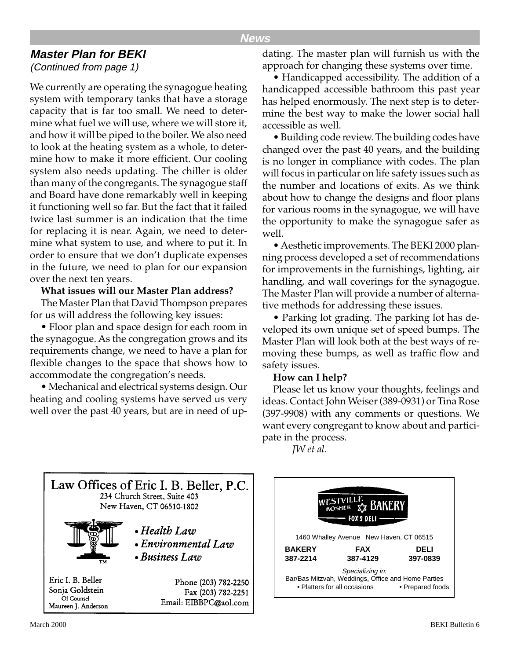#### **News**

## **Master Plan for BEKI**

(Continued from page 1)

We currently are operating the synagogue heating system with temporary tanks that have a storage capacity that is far too small. We need to determine what fuel we will use, where we will store it, and how it will be piped to the boiler. We also need to look at the heating system as a whole, to determine how to make it more efficient. Our cooling system also needs updating. The chiller is older than many of the congregants. The synagogue staff and Board have done remarkably well in keeping it functioning well so far. But the fact that it failed twice last summer is an indication that the time for replacing it is near. Again, we need to determine what system to use, and where to put it. In order to ensure that we don't duplicate expenses in the future, we need to plan for our expansion over the next ten years.

#### **What issues will our Master Plan address?**

The Master Plan that David Thompson prepares for us will address the following key issues:

• Floor plan and space design for each room in the synagogue. As the congregation grows and its requirements change, we need to have a plan for flexible changes to the space that shows how to accommodate the congregation's needs.

• Mechanical and electrical systems design. Our heating and cooling systems have served us very well over the past 40 years, but are in need of updating. The master plan will furnish us with the approach for changing these systems over time.

• Handicapped accessibility. The addition of a handicapped accessible bathroom this past year has helped enormously. The next step is to determine the best way to make the lower social hall accessible as well.

• Building code review. The building codes have changed over the past 40 years, and the building is no longer in compliance with codes. The plan will focus in particular on life safety issues such as the number and locations of exits. As we think about how to change the designs and floor plans for various rooms in the synagogue, we will have the opportunity to make the synagogue safer as well.

• Aesthetic improvements. The BEKI 2000 planning process developed a set of recommendations for improvements in the furnishings, lighting, air handling, and wall coverings for the synagogue. The Master Plan will provide a number of alternative methods for addressing these issues.

• Parking lot grading. The parking lot has developed its own unique set of speed bumps. The Master Plan will look both at the best ways of removing these bumps, as well as traffic flow and safety issues.

#### **How can I help?**

Please let us know your thoughts, feelings and ideas. Contact John Weiser (389-0931) or Tina Rose (397-9908) with any comments or questions. We want every congregant to know about and participate in the process.

*JW et al.*



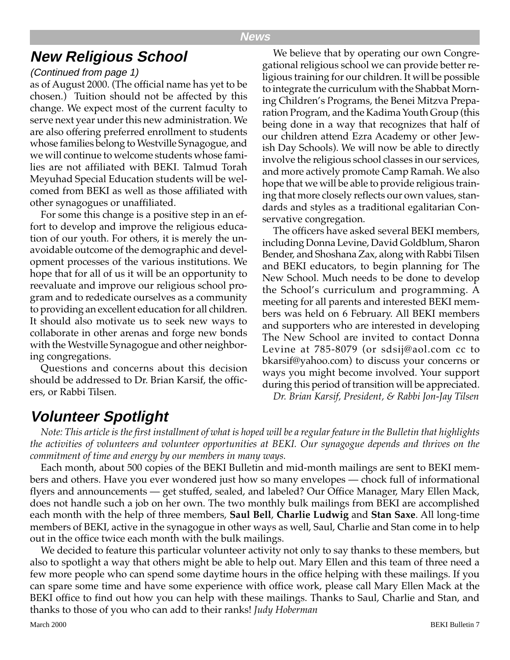# **New Religious School**

#### (Continued from page 1)

as of August 2000. (The official name has yet to be chosen.) Tuition should not be affected by this change. We expect most of the current faculty to serve next year under this new administration. We are also offering preferred enrollment to students whose families belong to Westville Synagogue, and we will continue to welcome students whose families are not affiliated with BEKI. Talmud Torah Meyuhad Special Education students will be welcomed from BEKI as well as those affiliated with other synagogues or unaffiliated.

For some this change is a positive step in an effort to develop and improve the religious education of our youth. For others, it is merely the unavoidable outcome of the demographic and development processes of the various institutions. We hope that for all of us it will be an opportunity to reevaluate and improve our religious school program and to rededicate ourselves as a community to providing an excellent education for all children. It should also motivate us to seek new ways to collaborate in other arenas and forge new bonds with the Westville Synagogue and other neighboring congregations.

Questions and concerns about this decision should be addressed to Dr. Brian Karsif, the officers, or Rabbi Tilsen.

We believe that by operating our own Congregational religious school we can provide better religious training for our children. It will be possible to integrate the curriculum with the Shabbat Morning Children's Programs, the Benei Mitzva Preparation Program, and the Kadima Youth Group (this being done in a way that recognizes that half of our children attend Ezra Academy or other Jewish Day Schools). We will now be able to directly involve the religious school classes in our services, and more actively promote Camp Ramah. We also hope that we will be able to provide religious training that more closely reflects our own values, standards and styles as a traditional egalitarian Conservative congregation.

The officers have asked several BEKI members, including Donna Levine, David Goldblum, Sharon Bender, and Shoshana Zax, along with Rabbi Tilsen and BEKI educators, to begin planning for The New School. Much needs to be done to develop the School's curriculum and programming. A meeting for all parents and interested BEKI members was held on 6 February. All BEKI members and supporters who are interested in developing The New School are invited to contact Donna Levine at 785-8079 (or sdsij@aol.com cc to bkarsif@yahoo.com) to discuss your concerns or ways you might become involved. Your support during this period of transition will be appreciated. *Dr. Brian Karsif, President, & Rabbi Jon-Jay Tilsen*

# **Volunteer Spotlight**

*Note: This article is the first installment of what is hoped will be a regular feature in the Bulletin that highlights the activities of volunteers and volunteer opportunities at BEKI. Our synagogue depends and thrives on the commitment of time and energy by our members in many ways.*

Each month, about 500 copies of the BEKI Bulletin and mid-month mailings are sent to BEKI members and others. Have you ever wondered just how so many envelopes — chock full of informational flyers and announcements — get stuffed, sealed, and labeled? Our Office Manager, Mary Ellen Mack, does not handle such a job on her own. The two monthly bulk mailings from BEKI are accomplished each month with the help of three members, **Saul Bell**, **Charlie Ludwig** and **Stan Saxe**. All long-time members of BEKI, active in the synagogue in other ways as well, Saul, Charlie and Stan come in to help out in the office twice each month with the bulk mailings.

We decided to feature this particular volunteer activity not only to say thanks to these members, but also to spotlight a way that others might be able to help out. Mary Ellen and this team of three need a few more people who can spend some daytime hours in the office helping with these mailings. If you can spare some time and have some experience with office work, please call Mary Ellen Mack at the BEKI office to find out how you can help with these mailings. Thanks to Saul, Charlie and Stan, and thanks to those of you who can add to their ranks! *Judy Hoberman*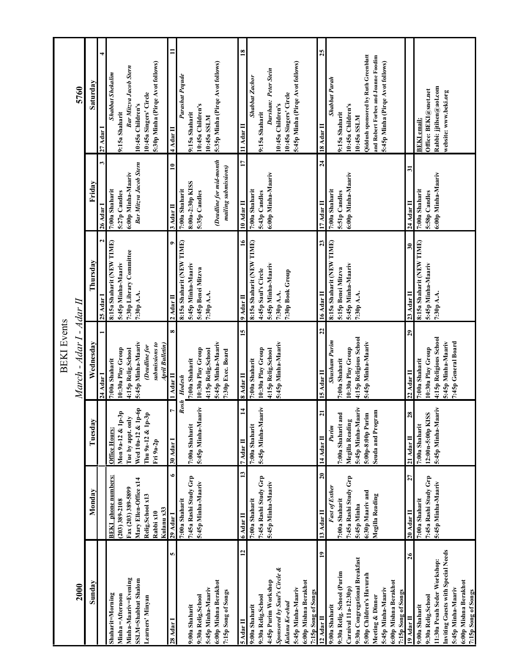|                                              |                               |                                       | <b>BEKI</b> Events                |                                        |                                |                                             |
|----------------------------------------------|-------------------------------|---------------------------------------|-----------------------------------|----------------------------------------|--------------------------------|---------------------------------------------|
| 2000                                         |                               |                                       | March - Adar I - Adar II          |                                        |                                | 5760                                        |
| Sunday                                       | Monday                        | Tuesday                               | Wednesday                         | Thursday                               | Friday                         | Saturday                                    |
|                                              |                               |                                       | 24 Adar 1                         | $25$ Adar I                            | ω<br>26 Adar I                 | $27$ Adar                                   |
| Shaharit=Morning                             | <b>BEKI</b> phone numbers:    | Office Hours:                         | 7:00a Shaharit                    | 8:15a Shaharit (NEW TIME)              | 7:00a Shaharit                 | Shabbat Shekalim                            |
| Minha = Afternoon                            | $(203)$ 389-2108              | $Mon 9a-12 & 1p-3p$                   | 10:30a Play Group                 | 5:45p Minha-Maariv                     | 5:27p Candles                  | 9:15a Shaharit                              |
| Minha-Maariv=Evening                         | Fax (203) 389-5899            | Fue by appt. only                     | 4:15p Relig.School                | 7:30p Library Committee                | 6:00p Minha-Maariv             | Bar Mitzva Jacob Stern                      |
| SSLM=Shabbat Shalom                          | Mary Ellen-Office x14         | Wed 10a-12 & 1p-6p                    | 5:45p Minha-Maariv                | 7:30p A.A.                             | Bar Mitzva Jacob Stern         | 10:45a Children's                           |
| Learners' Minyan                             | Relig.School x13              | Thu 9a-12 & 1p-3p                     | Deadline for                      |                                        |                                | 10:45a Singers' Circle                      |
|                                              | Kulanu x33<br>Rabbi x10       | Fri 9a-2p                             | submissions to<br>April Bulletin) |                                        |                                | 5:30p Minha (Pirqe Avot follows)            |
| 5<br>$28$ Adar I                             | $\bullet$<br><b>29 Adar I</b> | $30$ Adar I                           | œ<br>Adar II                      | ۰<br>$2$ Adar II                       | $\mathbf{u}$<br>$3$ Adar II    | $\blacksquare$<br>$4$ Adar II               |
|                                              | 7:00a Shaharit                | Rosh                                  | Hodesh                            | 8:15a Shaharit (NEW TIME)              | 7:00a Shaharit                 | Parashat Pequde                             |
| 9:00a Shaharit                               | 7:45a Rashi Study Grp         | 7:00a Shaharit                        | 7:00a Shaharit                    | 5:45p Minha-Maariv                     | 8:00a-2:30p KISS               | 9:15a Shaharit                              |
| 9:30a Relig.School                           | 5:45p Minha-Maariv            | Ł<br>5:45p Minha-Maari                | 10:30a Play Group                 | 5:45p Benei Mitzva                     | 5:35p Candles                  | 10:45a Children's                           |
| 5:45p Minha-Maariv                           |                               |                                       | 4:15p Relig.School                | 7:30p A.A.                             |                                | 10:45a SSLM                                 |
| 6:00p Mishna Berakhot                        |                               |                                       | 5:45p Minha-Maariv                |                                        | (Deadline for mid-month        | 5:35p Minha (Pirqe Avot follows)            |
| 7:15p Song of Songs                          |                               |                                       | 7:30p Exec. Board                 |                                        | mailing submissions)           |                                             |
| $\mathbf{r}$<br>$5$ Adar II                  | $\mathbf{13}$<br>$6$ Adar II  | $7$ Adar II                           | 15<br>8 Adar II                   | $\tilde{=}$<br>$9$ Adar II             | 17<br>$10$ Adar II             | $\mathbf{\underline{8}}$<br>$11$ Adar $\Pi$ |
| 9:00a Shaharit                               | 7:00a Shaharit                | 7:00a Shaharit                        | 7:00a Shaharit                    | 8:15a Shaharit (NEW TIME)              | 7:00a Shaharit                 | Shabbat Zachor                              |
| 9:30a Relig.School                           | 7:45a Rashi Study Grp         | 5:45p Minha-Maariv                    | 10:30a Play Group                 | 4:45p Saul's Circle                    | 5:43p Candles                  | 9:15a Shaharit                              |
| 4:45p Purim Workshop                         | 5:45p Minha-Maariv            |                                       | 4:15p Relig.School                | 5:45p Minha-Maariv                     | 6:00p Minha-Maariv             | Darshan: Peter Stein                        |
| Sponsored by Saul's Circle &                 |                               |                                       | 5:45p Minha-Maariv                | 7:30p A.A.                             |                                | 10:45a Children's                           |
| Kulanu Ke-ehad                               |                               |                                       |                                   | 7:30p Book Group                       |                                | 10:45a Singers' Circle                      |
| 5:45p Minha-Maariv                           |                               |                                       |                                   |                                        |                                | 5:45p Minha (Pirqe Avot follows)            |
| 6:00p Mishna Berakhot                        |                               |                                       |                                   |                                        |                                |                                             |
| 7:15p Song of Songs                          |                               |                                       |                                   |                                        |                                |                                             |
| $\mathbf{a}$<br>$12$ Adar II                 | 20<br>13 Adar II              | $\overline{\mathbf{z}}$<br>14 Adar II | $\overline{2}$<br>$15$ Adar II    | 23<br>16 Adar II                       | $\overline{a}$<br>$17$ Adar II | 25<br>$18$ Adar II                          |
| 9:00a Shaharit                               | <b>Fast of Esther</b>         | Purim                                 | <b>Shusham Purim</b>              | 8:15a Shaharit (NEW TIME)              | 7:00a Shaharit                 | Shabbat Parah                               |
| 9:30a Relig. School (Purim                   | 7:00a Shaharit                | 7:00a Shaharit and                    | 7:00a Shaharit                    | 5:15p Benei Mitzva                     | 5:51p Candles                  | 9:15a Shaharit                              |
| Carnival $11a-12:30p$ )                      | 7:45a Rashi Study Grp         | Megilla Reading                       | 10:30a Play Group                 | 5:45p Minha-Maariv                     | 6:00p Minha-Maariv             | 10:45a Children's                           |
| 9:30a Congregational Breakfast               | 5:45p Minha                   | 5:45p Minha-Maariv                    | 4:15p Religious School            | 7:30р А.А.                             |                                | 10:45a SSLM                                 |
| 5:00p Children's Havurah                     | 6:30p Maariv and              | 5:00p-8:00p Purim                     | 5:45p Minha-Maariv                |                                        |                                | Qiddush sponsored by Ruth Greenblatt        |
| Meeting & Dinner                             | Megilla Reading               | Seuda and Program                     |                                   |                                        |                                | and Robert Forbes and Joanne Foodim         |
| 5:45p Minha-Maariv                           |                               |                                       |                                   |                                        |                                | 5:45p Minha (Pirqe Avot follows)            |
| 6:00p Mishna Berakhot<br>7:15p Song of Songs |                               |                                       |                                   |                                        |                                |                                             |
| 26<br>19 Adar II                             | 27<br>20 Adar II              | 28<br>21 Adar II                      | 29<br>$22$ Adar II                | $\overline{\mathbf{30}}$<br>23 Adar II | $\mathbf{r}$<br>$24$ Adar II   |                                             |
| 9:00a Shaharit                               | 7:00a Shaharit                | 7:00a Shaharit                        | 7:00a Shaharit                    | 8:15a Shaharit (NEW TIME)              | 7:00a Shaharit                 | <b>BEKI</b> email:                          |
| 9:30a Relig.School                           | 7:45a Rashi Study Grp         | 12:00n-5:00p KISS                     | 10:30a Play Group                 |                                        | 5:58p Candles                  | Office: BEKI@snet.net                       |
| 11:30a Pesah Seder Workshop:                 | 5:45p Minha-Maariv            | 5:45p Minha-Maariv                    | 4:15p Religious School            | 5:45p Minha-Maariv<br>7:30p A.A.       | 6:00p Minha-Maariv             | Rabbi: jjtilsen@aol.com                     |
| Inviting Guests with Special Needs           |                               |                                       | 5:45p Minha-Maariv                |                                        |                                | website: www.beki.org                       |
| 5:45p Minha-Maariv                           |                               |                                       | 7:45p General Board               |                                        |                                |                                             |
| 6:00p Mishna Berakhot                        |                               |                                       |                                   |                                        |                                |                                             |
| 7:15p Song of Songs                          |                               |                                       |                                   |                                        |                                |                                             |